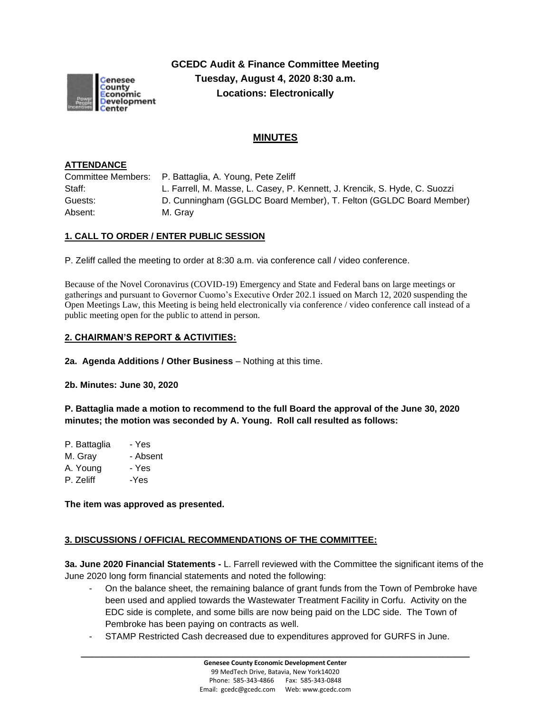

**GCEDC Audit & Finance Committee Meeting Tuesday, August 4, 2020 8:30 a.m. Locations: Electronically**

# **MINUTES**

#### **ATTENDANCE**

Committee Members: P. Battaglia, A. Young, Pete Zeliff Staff: L. Farrell, M. Masse, L. Casey, P. Kennett, J. Krencik, S. Hyde, C. Suozzi Guests: D. Cunningham (GGLDC Board Member), T. Felton (GGLDC Board Member) Absent: M. Gray

#### **1. CALL TO ORDER / ENTER PUBLIC SESSION**

P. Zeliff called the meeting to order at 8:30 a.m. via conference call / video conference.

Because of the Novel Coronavirus (COVID-19) Emergency and State and Federal bans on large meetings or gatherings and pursuant to Governor Cuomo's Executive Order 202.1 issued on March 12, 2020 suspending the Open Meetings Law, this Meeting is being held electronically via conference / video conference call instead of a public meeting open for the public to attend in person.

## **2. CHAIRMAN'S REPORT & ACTIVITIES:**

**2a. Agenda Additions / Other Business** – Nothing at this time.

**2b. Minutes: June 30, 2020**

**P. Battaglia made a motion to recommend to the full Board the approval of the June 30, 2020 minutes; the motion was seconded by A. Young. Roll call resulted as follows:**

| P. Battaglia | - Yes    |
|--------------|----------|
| M. Gray      | - Absent |
| A. Young     | - Yes    |
| P. Zeliff    | -Yes     |

**The item was approved as presented.**

#### **3. DISCUSSIONS / OFFICIAL RECOMMENDATIONS OF THE COMMITTEE:**

**3a. June 2020 Financial Statements -** L. Farrell reviewed with the Committee the significant items of the June 2020 long form financial statements and noted the following:

- On the balance sheet, the remaining balance of grant funds from the Town of Pembroke have been used and applied towards the Wastewater Treatment Facility in Corfu. Activity on the EDC side is complete, and some bills are now being paid on the LDC side. The Town of Pembroke has been paying on contracts as well.
- STAMP Restricted Cash decreased due to expenditures approved for GURFS in June.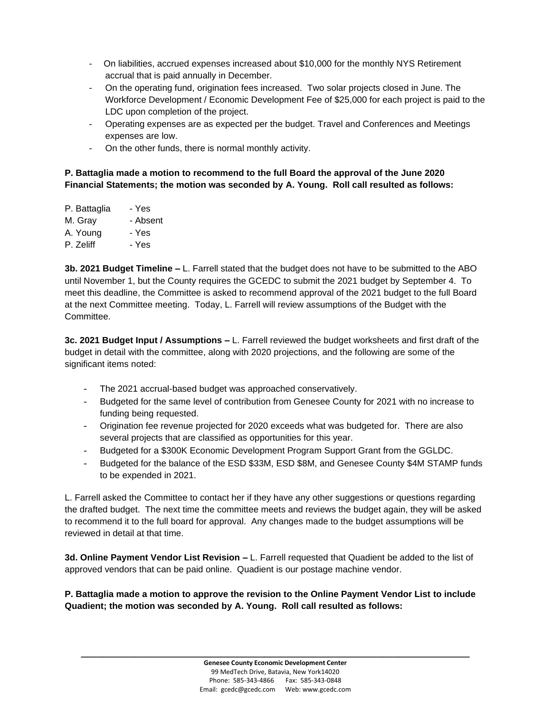- On liabilities, accrued expenses increased about \$10,000 for the monthly NYS Retirement accrual that is paid annually in December.
- On the operating fund, origination fees increased. Two solar projects closed in June. The Workforce Development / Economic Development Fee of \$25,000 for each project is paid to the LDC upon completion of the project.
- Operating expenses are as expected per the budget. Travel and Conferences and Meetings expenses are low.
- On the other funds, there is normal monthly activity.

## **P. Battaglia made a motion to recommend to the full Board the approval of the June 2020 Financial Statements; the motion was seconded by A. Young. Roll call resulted as follows:**

| P. Battaglia | - Yes    |
|--------------|----------|
| M. Gray      | - Absent |
| A. Young     | - Yes    |
| P. Zeliff    | - Yes    |
|              |          |

**3b. 2021 Budget Timeline –** L. Farrell stated that the budget does not have to be submitted to the ABO until November 1, but the County requires the GCEDC to submit the 2021 budget by September 4. To meet this deadline, the Committee is asked to recommend approval of the 2021 budget to the full Board at the next Committee meeting. Today, L. Farrell will review assumptions of the Budget with the Committee.

**3c. 2021 Budget Input / Assumptions –** L. Farrell reviewed the budget worksheets and first draft of the budget in detail with the committee, along with 2020 projections, and the following are some of the significant items noted:

- The 2021 accrual-based budget was approached conservatively.
- Budgeted for the same level of contribution from Genesee County for 2021 with no increase to funding being requested.
- Origination fee revenue projected for 2020 exceeds what was budgeted for. There are also several projects that are classified as opportunities for this year.
- Budgeted for a \$300K Economic Development Program Support Grant from the GGLDC.
- Budgeted for the balance of the ESD \$33M, ESD \$8M, and Genesee County \$4M STAMP funds to be expended in 2021.

L. Farrell asked the Committee to contact her if they have any other suggestions or questions regarding the drafted budget. The next time the committee meets and reviews the budget again, they will be asked to recommend it to the full board for approval. Any changes made to the budget assumptions will be reviewed in detail at that time.

**3d. Online Payment Vendor List Revision –** L. Farrell requested that Quadient be added to the list of approved vendors that can be paid online. Quadient is our postage machine vendor.

**P. Battaglia made a motion to approve the revision to the Online Payment Vendor List to include Quadient; the motion was seconded by A. Young. Roll call resulted as follows:**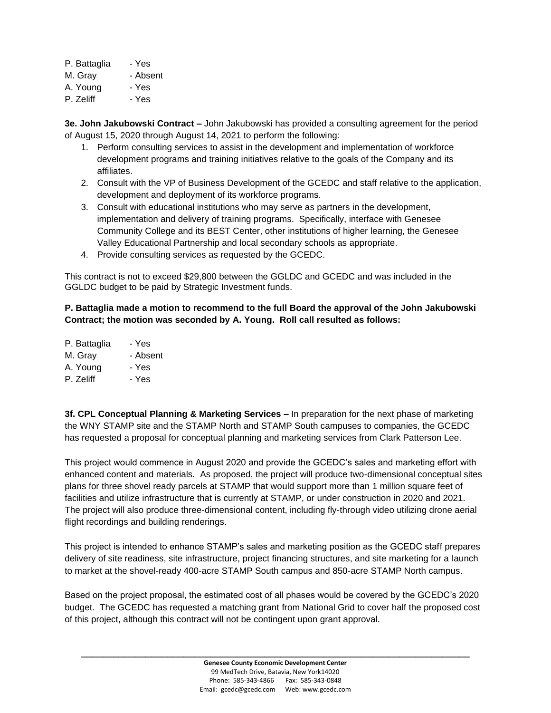| P. Battaglia | - Yes |
|--------------|-------|
|--------------|-------|

- M. Gray Absent
- A. Young Yes
- P. Zeliff Yes

**3e. John Jakubowski Contract –** John Jakubowski has provided a consulting agreement for the period of August 15, 2020 through August 14, 2021 to perform the following:

- 1. Perform consulting services to assist in the development and implementation of workforce development programs and training initiatives relative to the goals of the Company and its affiliates.
- 2. Consult with the VP of Business Development of the GCEDC and staff relative to the application, development and deployment of its workforce programs.
- 3. Consult with educational institutions who may serve as partners in the development, implementation and delivery of training programs. Specifically, interface with Genesee Community College and its BEST Center, other institutions of higher learning, the Genesee Valley Educational Partnership and local secondary schools as appropriate.
- 4. Provide consulting services as requested by the GCEDC.

This contract is not to exceed \$29,800 between the GGLDC and GCEDC and was included in the GGLDC budget to be paid by Strategic Investment funds.

#### **P. Battaglia made a motion to recommend to the full Board the approval of the John Jakubowski Contract; the motion was seconded by A. Young. Roll call resulted as follows:**

| P. Battaglia | - Yes |
|--------------|-------|
|--------------|-------|

- M. Gray Absent
- A. Young Yes
- P. Zeliff Yes

**3f. CPL Conceptual Planning & Marketing Services –** In preparation for the next phase of marketing the WNY STAMP site and the STAMP North and STAMP South campuses to companies, the GCEDC has requested a proposal for conceptual planning and marketing services from Clark Patterson Lee.

This project would commence in August 2020 and provide the GCEDC's sales and marketing effort with enhanced content and materials. As proposed, the project will produce two-dimensional conceptual sites plans for three shovel ready parcels at STAMP that would support more than 1 million square feet of facilities and utilize infrastructure that is currently at STAMP, or under construction in 2020 and 2021. The project will also produce three-dimensional content, including fly-through video utilizing drone aerial flight recordings and building renderings.

This project is intended to enhance STAMP's sales and marketing position as the GCEDC staff prepares delivery of site readiness, site infrastructure, project financing structures, and site marketing for a launch to market at the shovel-ready 400-acre STAMP South campus and 850-acre STAMP North campus.

Based on the project proposal, the estimated cost of all phases would be covered by the GCEDC's 2020 budget. The GCEDC has requested a matching grant from National Grid to cover half the proposed cost of this project, although this contract will not be contingent upon grant approval.